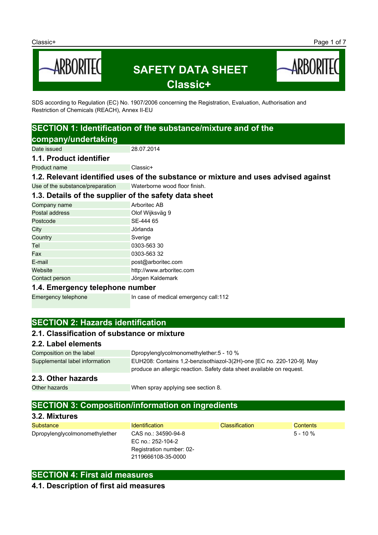

SDS according to Regulation (EC) No. 1907/2006 concerning the Registration, Evaluation, Authorisation and Restriction of Chemicals (REACH), Annex II-EU

# **SECTION 1: Identification of the substance/mixture and of the company/undertaking**

Date issued 28.07.2014

#### **1.1. Product identifier**

Product name Classic+

**1.2. Relevant identified uses of the substance or mixture and uses advised against**

Use of the substance/preparation Waterborne wood floor finish.

# **1.3. Details of the supplier of the safety data sheet**

| Company name   | Arboritec AB             |
|----------------|--------------------------|
| Postal address | Olof Wijksväg 9          |
| Postcode       | SE-444 65                |
| City           | Jörlanda                 |
| Country        | Sverige                  |
| Tel            | 0303-563 30              |
| Fax            | 0303-563 32              |
| E-mail         | post@arboritec.com       |
| Website        | http://www.arboritec.com |
| Contact person | Jörgen Kaldemark         |
|                |                          |

#### **1.4. Emergency telephone number**

Emergency telephone In case of medical emergency call:112

# **SECTION 2: Hazards identification**

# **2.1. Classification of substance or mixture**

#### **2.2. Label elements**

Composition on the label Dpropylenglycolmonomethylether:5 - 10 % Supplemental label information EUH208: Contains 1,2-benzisothiazol-3(2H)-one [EC no. 220-120-9]. May produce an allergic reaction. Safety data sheet available on request.

#### **2.3. Other hazards**

Other hazards **When spray applying see section 8.** 

# **SECTION 3: Composition/information on ingredients**

#### **3.2. Mixtures**

| Substance                      | <b>Identification</b>    | <b>Classification</b> | <b>Contents</b> |
|--------------------------------|--------------------------|-----------------------|-----------------|
| Dpropylenglycolmonomethylether | CAS no.: 34590-94-8      |                       | $5 - 10 \%$     |
|                                | EC no.: 252-104-2        |                       |                 |
|                                | Registration number: 02- |                       |                 |
|                                | 2119666108-35-0000       |                       |                 |

### **SECTION 4: First aid measures**

#### **4.1. Description of first aid measures**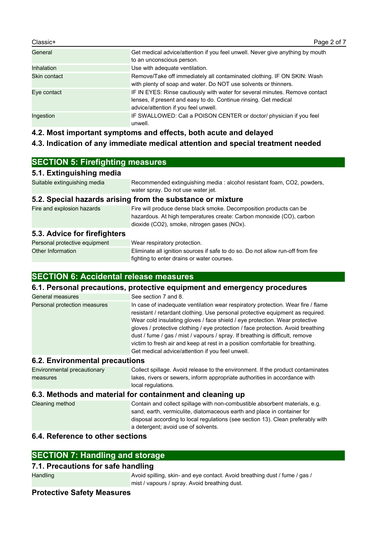| Classic+          | Page 2 of 7                                                                                                                                                                             |
|-------------------|-----------------------------------------------------------------------------------------------------------------------------------------------------------------------------------------|
| General           | Get medical advice/attention if you feel unwell. Never give anything by mouth<br>to an unconscious person.                                                                              |
| <b>Inhalation</b> | Use with adequate ventilation.                                                                                                                                                          |
| Skin contact      | Remove/Take off immediately all contaminated clothing. IF ON SKIN: Wash<br>with plenty of soap and water. Do NOT use solvents or thinners.                                              |
| Eye contact       | IF IN EYES: Rinse cautiously with water for several minutes. Remove contact<br>lenses, if present and easy to do. Continue rinsing. Get medical<br>advice/attention if you feel unwell. |
| Ingestion         | IF SWALLOWED: Call a POISON CENTER or doctor/ physician if you feel<br>unwell.                                                                                                          |

**4.2. Most important symptoms and effects, both acute and delayed**

# **4.3. Indication of any immediate medical attention and special treatment needed**

# **SECTION 5: Firefighting measures**

#### **5.1. Extinguishing media**

Suitable extinguishing media Recommended extinguishing media : alcohol resistant foam, CO2, powders, water spray. Do not use water jet.

#### **5.2. Special hazards arising from the substance or mixture**

| Fire and explosion hazards | Fire will produce dense black smoke. Decomposition products can be   |
|----------------------------|----------------------------------------------------------------------|
|                            | hazardous. At high temperatures create: Carbon monoxide (CO), carbon |
|                            | dioxide (CO2), smoke, nitrogen gases (NOx).                          |
|                            |                                                                      |

# **5.3. Advice for firefighters**

| Personal protective equipment | Wear respiratory protection.                                                    |
|-------------------------------|---------------------------------------------------------------------------------|
| Other Information             | Eliminate all ignition sources if safe to do so. Do not allow run-off from fire |
|                               | fighting to enter drains or water courses.                                      |

# **SECTION 6: Accidental release measures**

#### **6.1. Personal precautions, protective equipment and emergency procedures**

| General measures             | See section 7 and 8.                                                                                                                                                                                                                                                                                                                                                                                                                                                                                                                                        |
|------------------------------|-------------------------------------------------------------------------------------------------------------------------------------------------------------------------------------------------------------------------------------------------------------------------------------------------------------------------------------------------------------------------------------------------------------------------------------------------------------------------------------------------------------------------------------------------------------|
| Personal protection measures | In case of inadequate ventilation wear respiratory protection. Wear fire / flame<br>resistant / retardant clothing. Use personal protective equipment as required.<br>Wear cold insulating gloves / face shield / eye protection. Wear protective<br>gloves / protective clothing / eye protection / face protection. Avoid breathing<br>dust / fume / gas / mist / vapours / spray. If breathing is difficult, remove<br>victim to fresh air and keep at rest in a position comfortable for breathing.<br>Get medical advice/attention if you feel unwell. |

#### **6.2. Environmental precautions**

| Environmental precautionary | Collect spillage. Avoid release to the environment. If the product contaminates |
|-----------------------------|---------------------------------------------------------------------------------|
| measures                    | lakes, rivers or sewers, inform appropriate authorities in accordance with      |
|                             | local regulations.                                                              |

## **6.3. Methods and material for containment and cleaning up**

| Cleaning method | Contain and collect spillage with non-combustible absorbent materials, e.g.     |
|-----------------|---------------------------------------------------------------------------------|
|                 | sand, earth, vermiculite, diatomaceous earth and place in container for         |
|                 | disposal according to local regulations (see section 13). Clean preferably with |
|                 | a detergent; avoid use of solvents.                                             |

# **6.4. Reference to other sections**

# **SECTION 7: Handling and storage**

# **7.1. Precautions for safe handling**

Handling **Avoid spilling, skin- and eye contact. Avoid breathing dust / fume / gas /** mist / vapours / spray. Avoid breathing dust.

### **Protective Safety Measures**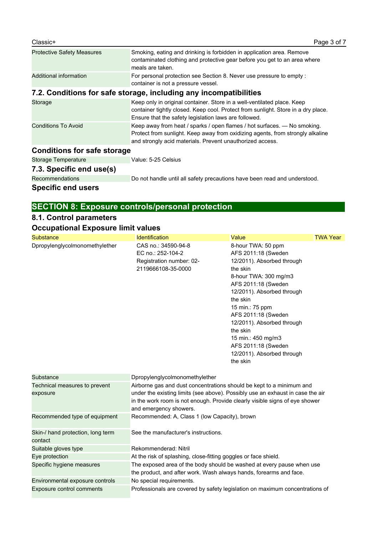| <b>Protective Safety Measures</b>  | Smoking, eating and drinking is forbidden in application area. Remove<br>contaminated clothing and protective gear before you get to an area where<br>meals are taken.                                                    |
|------------------------------------|---------------------------------------------------------------------------------------------------------------------------------------------------------------------------------------------------------------------------|
| Additional information             | For personal protection see Section 8. Never use pressure to empty :<br>container is not a pressure vessel.                                                                                                               |
|                                    | 7.2. Conditions for safe storage, including any incompatibilities                                                                                                                                                         |
| Storage                            | Keep only in original container. Store in a well-ventilated place. Keep<br>container tightly closed. Keep cool. Protect from sunlight. Store in a dry place.<br>Ensure that the safety legislation laws are followed.     |
| <b>Conditions To Avoid</b>         | Keep away from heat / sparks / open flames / hot surfaces. $-$ No smoking.<br>Protect from sunlight. Keep away from oxidizing agents, from strongly alkaline<br>and strongly acid materials. Prevent unauthorized access. |
| <b>Conditions for safe storage</b> |                                                                                                                                                                                                                           |
| <b>Storage Temperature</b>         | Value: 5-25 Celsius                                                                                                                                                                                                       |
| 7.3. Specific end use(s)           |                                                                                                                                                                                                                           |
| <b>Recommendations</b>             | Do not handle until all safety precautions have been read and understood.                                                                                                                                                 |

# **Specific end users**

# **SECTION 8: Exposure controls/personal protection**

# **8.1. Control parameters**

# **Occupational Exposure limit values**

| Substance                                    | <b>Identification</b>                                                                                                                                                                                                                                           | Value                                                                                                                                                                                                                                                                                                                                                    | <b>TWA Year</b> |
|----------------------------------------------|-----------------------------------------------------------------------------------------------------------------------------------------------------------------------------------------------------------------------------------------------------------------|----------------------------------------------------------------------------------------------------------------------------------------------------------------------------------------------------------------------------------------------------------------------------------------------------------------------------------------------------------|-----------------|
| Dpropylenglycolmonomethylether               | CAS no.: 34590-94-8<br>EC no.: 252-104-2<br>Registration number: 02-<br>2119666108-35-0000                                                                                                                                                                      | 8-hour TWA: 50 ppm<br>AFS 2011:18 (Sweden<br>12/2011). Absorbed through<br>the skin<br>8-hour TWA: 300 mg/m3<br>AFS 2011:18 (Sweden<br>12/2011). Absorbed through<br>the skin<br>15 min.: 75 ppm<br>AFS 2011:18 (Sweden<br>12/2011). Absorbed through<br>the skin<br>15 min.: 450 mg/m3<br>AFS 2011:18 (Sweden<br>12/2011). Absorbed through<br>the skin |                 |
| Substance                                    | Dpropylenglycolmonomethylether                                                                                                                                                                                                                                  |                                                                                                                                                                                                                                                                                                                                                          |                 |
| Technical measures to prevent<br>exposure    | Airborne gas and dust concentrations should be kept to a minimum and<br>under the existing limits (see above). Possibly use an exhaust in case the air<br>in the work room is not enough. Provide clearly visible signs of eye shower<br>and emergency showers. |                                                                                                                                                                                                                                                                                                                                                          |                 |
| Recommended type of equipment                | Recommended: A, Class 1 (low Capacity), brown                                                                                                                                                                                                                   |                                                                                                                                                                                                                                                                                                                                                          |                 |
| Skin-/ hand protection, long term<br>contact | See the manufacturer's instructions.                                                                                                                                                                                                                            |                                                                                                                                                                                                                                                                                                                                                          |                 |
| Suitable gloves type                         | Rekommenderad: Nitril                                                                                                                                                                                                                                           |                                                                                                                                                                                                                                                                                                                                                          |                 |
| Eye protection                               | At the risk of splashing, close-fitting goggles or face shield.                                                                                                                                                                                                 |                                                                                                                                                                                                                                                                                                                                                          |                 |
| Specific hygiene measures                    | The exposed area of the body should be washed at every pause when use<br>the product, and after work. Wash always hands, forearms and face.                                                                                                                     |                                                                                                                                                                                                                                                                                                                                                          |                 |
| Environmental exposure controls              | No special requirements.                                                                                                                                                                                                                                        |                                                                                                                                                                                                                                                                                                                                                          |                 |
| <b>Exposure control comments</b>             | Professionals are covered by safety legislation on maximum concentrations of                                                                                                                                                                                    |                                                                                                                                                                                                                                                                                                                                                          |                 |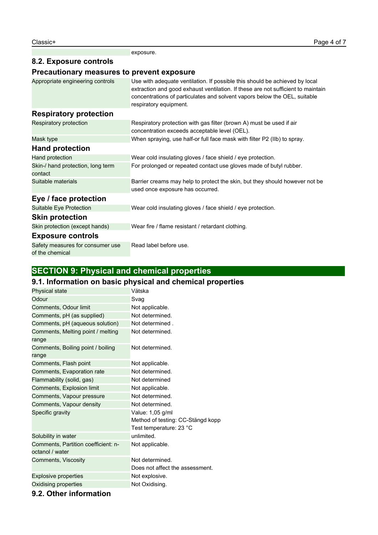exposure.

# **8.2. Exposure controls**

# **Precautionary measures to prevent exposure**

| Appropriate engineering controls                    | Use with adequate ventilation. If possible this should be achieved by local<br>extraction and good exhaust ventilation. If these are not sufficient to maintain<br>concentrations of particulates and solvent vapors below the OEL, suitable<br>respiratory equipment. |
|-----------------------------------------------------|------------------------------------------------------------------------------------------------------------------------------------------------------------------------------------------------------------------------------------------------------------------------|
| <b>Respiratory protection</b>                       |                                                                                                                                                                                                                                                                        |
| Respiratory protection                              | Respiratory protection with gas filter (brown A) must be used if air<br>concentration exceeds acceptable level (OEL).                                                                                                                                                  |
| Mask type                                           | When spraying, use half-or full face mask with filter P2 (IIb) to spray.                                                                                                                                                                                               |
| <b>Hand protection</b>                              |                                                                                                                                                                                                                                                                        |
| Hand protection                                     | Wear cold insulating gloves / face shield / eye protection.                                                                                                                                                                                                            |
| Skin-/ hand protection, long term<br>contact        | For prolonged or repeated contact use gloves made of butyl rubber.                                                                                                                                                                                                     |
| Suitable materials                                  | Barrier creams may help to protect the skin, but they should however not be<br>used once exposure has occurred.                                                                                                                                                        |
| Eye / face protection                               |                                                                                                                                                                                                                                                                        |
| Suitable Eye Protection                             | Wear cold insulating gloves / face shield / eye protection.                                                                                                                                                                                                            |
| <b>Skin protection</b>                              |                                                                                                                                                                                                                                                                        |
| Skin protection (except hands)                      | Wear fire / flame resistant / retardant clothing.                                                                                                                                                                                                                      |
| <b>Exposure controls</b>                            |                                                                                                                                                                                                                                                                        |
| Safety measures for consumer use<br>of the chemical | Read label before use.                                                                                                                                                                                                                                                 |

# **SECTION 9: Physical and chemical properties**

# **9.1. Information on basic physical and chemical properties**

| Physical state                      | Vätska                            |
|-------------------------------------|-----------------------------------|
| Odour                               | Svag                              |
| Comments, Odour limit               | Not applicable.                   |
| Comments, pH (as supplied)          | Not determined.                   |
| Comments, pH (aqueous solution)     | Not determined.                   |
| Comments, Melting point / melting   | Not determined.                   |
| range                               |                                   |
| Comments, Boiling point / boiling   | Not determined.                   |
| range                               |                                   |
| Comments, Flash point               | Not applicable.                   |
| Comments, Evaporation rate          | Not determined.                   |
| Flammability (solid, gas)           | Not determined                    |
| Comments, Explosion limit           | Not applicable.                   |
| Comments, Vapour pressure           | Not determined.                   |
| Comments, Vapour density            | Not determined.                   |
| Specific gravity                    | Value: 1,05 g/ml                  |
|                                     | Method of testing: CC-Stängd kopp |
|                                     | Test temperature: 23 °C           |
| Solubility in water                 | unlimited.                        |
| Comments, Partition coefficient: n- | Not applicable.                   |
| octanol / water                     |                                   |
| Comments, Viscosity                 | Not determined.                   |
|                                     | Does not affect the assessment.   |
| <b>Explosive properties</b>         | Not explosive.                    |
| Oxidising properties                | Not Oxidising.                    |
| 0.2. Other information              |                                   |

#### **9.2. Other information**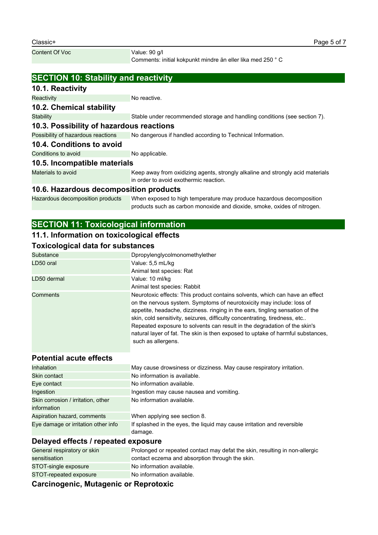Comments: initial kokpunkt mindre än eller lika med 250 ° C

# **SECTION 10: Stability and reactivity**

#### **10.1. Reactivity**

Reactivity **No reactive.** No reactive.

### **10.2. Chemical stability**

#### Stability Stable under recommended storage and handling conditions (see section 7).

# **10.3. Possibility of hazardous reactions**

Possibility of hazardous reactions No dangerous if handled according to Technical Information.

#### **10.4. Conditions to avoid**

Conditions to avoid No applicable.

### **10.5. Incompatible materials**

Materials to avoid Keep away from oxidizing agents, strongly alkaline and strongly acid materials in order to avoid exothermic reaction.

# **10.6. Hazardous decomposition products**

Hazardous decomposition products When exposed to high temperature may produce hazardous decomposition products such as carbon monoxide and dioxide, smoke, oxides of nitrogen.

# **SECTION 11: Toxicological information**

### **11.1. Information on toxicological effects**

#### **Toxicological data for substances**

| Substance   | Dpropylenglycolmonomethylether                                                                                                                                                                                                                                                                                                                                                                                             |
|-------------|----------------------------------------------------------------------------------------------------------------------------------------------------------------------------------------------------------------------------------------------------------------------------------------------------------------------------------------------------------------------------------------------------------------------------|
| LD50 oral   | Value: 5,5 mL/kg                                                                                                                                                                                                                                                                                                                                                                                                           |
|             | Animal test species: Rat                                                                                                                                                                                                                                                                                                                                                                                                   |
| LD50 dermal | Value: 10 ml/kg                                                                                                                                                                                                                                                                                                                                                                                                            |
|             | Animal test species: Rabbit                                                                                                                                                                                                                                                                                                                                                                                                |
| Comments    | Neurotoxic effects: This product contains solvents, which can have an effect                                                                                                                                                                                                                                                                                                                                               |
|             | on the nervous system. Symptoms of neurotoxicity may include: loss of<br>appetite, headache, dizziness. ringing in the ears, tingling sensation of the<br>skin, cold sensitivity, seizures, difficulty concentrating, tiredness, etc<br>Repeated exposure to solvents can result in the degradation of the skin's<br>natural layer of fat. The skin is then exposed to uptake of harmful substances,<br>such as allergens. |

# **Potential acute effects**

| Inhalation                          | May cause drowsiness or dizziness. May cause respiratory irritation.               |
|-------------------------------------|------------------------------------------------------------------------------------|
| Skin contact                        | No information is available.                                                       |
| Eye contact                         | No information available.                                                          |
| Ingestion                           | Ingestion may cause nausea and vomiting.                                           |
| Skin corrosion / irritation, other  | No information available.                                                          |
| information                         |                                                                                    |
| Aspiration hazard, comments         | When applying see section 8.                                                       |
| Eye damage or irritation other info | If splashed in the eyes, the liquid may cause irritation and reversible<br>damage. |

### **Delayed effects / repeated exposure**

| Assala sacada Mutawarda as Bangatarda |                                                                             |
|---------------------------------------|-----------------------------------------------------------------------------|
| STOT-repeated exposure                | No information available.                                                   |
| STOT-single exposure                  | No information available.                                                   |
| sensitisation                         | contact eczema and absorption through the skin.                             |
| General respiratory or skin           | Prolonged or repeated contact may defat the skin, resulting in non-allergic |

### **Carcinogenic, Mutagenic or Reprotoxic**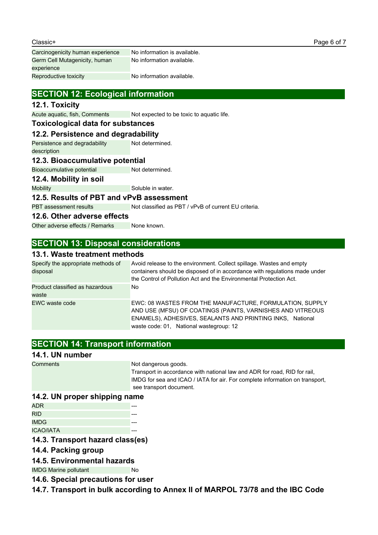| No information is available. |
|------------------------------|
| No information available.    |
|                              |
| No information available.    |
|                              |

# **SECTION 12: Ecological information**

#### **12.1. Toxicity**

Acute aquatic, fish, Comments Not expected to be toxic to aquatic life.

#### **Toxicological data for substances**

#### **12.2. Persistence and degradability**

Persistence and degradability description Not determined.

#### **12.3. Bioaccumulative potential**

Bioaccumulative potential Not determined.

#### **12.4. Mobility in soil**

Mobility Mobility Soluble in water.

#### **12.5. Results of PBT and vPvB assessment**

PBT assessment results Not classified as PBT / vPvB of current EU criteria.

#### **12.6. Other adverse effects**

Other adverse effects / Remarks None known.

# **SECTION 13: Disposal considerations**

#### **13.1. Waste treatment methods**

| Specify the appropriate methods of<br>disposal | Avoid release to the environment. Collect spillage. Wastes and empty<br>containers should be disposed of in accordance with regulations made under<br>the Control of Pollution Act and the Environmental Protection Act.       |
|------------------------------------------------|--------------------------------------------------------------------------------------------------------------------------------------------------------------------------------------------------------------------------------|
| Product classified as hazardous<br>waste       | No.                                                                                                                                                                                                                            |
| EWC waste code                                 | EWC: 08 WASTES FROM THE MANUFACTURE, FORMULATION, SUPPLY<br>AND USE (MFSU) OF COATINGS (PAINTS, VARNISHES AND VITREOUS<br>ENAMELS), ADHESIVES, SEALANTS AND PRINTING INKS, National<br>waste code: 01, National wastegroup: 12 |

# **SECTION 14: Transport information**

#### **14.1. UN number**

Comments Not dangerous goods.

Transport in accordance with national law and ADR for road, RID for rail, IMDG for sea and ICAO / IATA for air. For complete information on transport, see transport document.

#### **14.2. UN proper shipping name**

| ADR              |  |
|------------------|--|
| <b>RID</b>       |  |
| <b>IMDG</b>      |  |
| <b>ICAO/IATA</b> |  |

#### **14.3. Transport hazard class(es)**

#### **14.4. Packing group**

#### **14.5. Environmental hazards**

IMDG Marine pollutant No

- **14.6. Special precautions for user**
- **14.7. Transport in bulk according to Annex II of MARPOL 73/78 and the IBC Code**